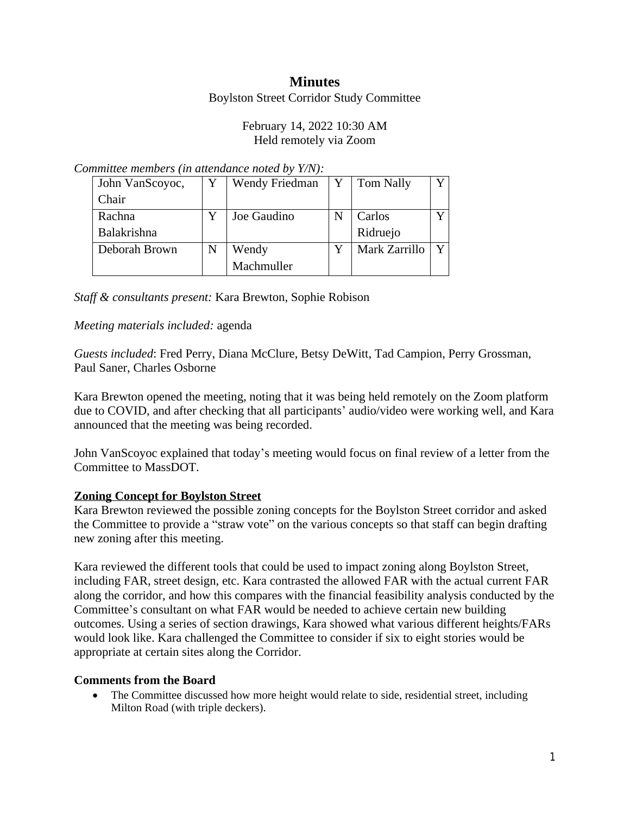# **Minutes**

#### Boylston Street Corridor Study Committee

## February 14, 2022 10:30 AM Held remotely via Zoom

#### *Committee members (in attendance noted by Y/N):*

| John VanScoyoc, | Wendy Friedman | Y | <b>Tom Nally</b> |  |
|-----------------|----------------|---|------------------|--|
| Chair           |                |   |                  |  |
| Rachna          | Joe Gaudino    |   | Carlos           |  |
| Balakrishna     |                |   | Ridruejo         |  |
| Deborah Brown   | Wendy          |   | Mark Zarrillo    |  |
|                 | Machmuller     |   |                  |  |

## *Staff & consultants present:* Kara Brewton, Sophie Robison

## *Meeting materials included:* agenda

*Guests included*: Fred Perry, Diana McClure, Betsy DeWitt, Tad Campion, Perry Grossman, Paul Saner, Charles Osborne

Kara Brewton opened the meeting, noting that it was being held remotely on the Zoom platform due to COVID, and after checking that all participants' audio/video were working well, and Kara announced that the meeting was being recorded.

John VanScoyoc explained that today's meeting would focus on final review of a letter from the Committee to MassDOT.

# **Zoning Concept for Boylston Street**

Kara Brewton reviewed the possible zoning concepts for the Boylston Street corridor and asked the Committee to provide a "straw vote" on the various concepts so that staff can begin drafting new zoning after this meeting.

Kara reviewed the different tools that could be used to impact zoning along Boylston Street, including FAR, street design, etc. Kara contrasted the allowed FAR with the actual current FAR along the corridor, and how this compares with the financial feasibility analysis conducted by the Committee's consultant on what FAR would be needed to achieve certain new building outcomes. Using a series of section drawings, Kara showed what various different heights/FARs would look like. Kara challenged the Committee to consider if six to eight stories would be appropriate at certain sites along the Corridor.

#### **Comments from the Board**

• The Committee discussed how more height would relate to side, residential street, including Milton Road (with triple deckers).